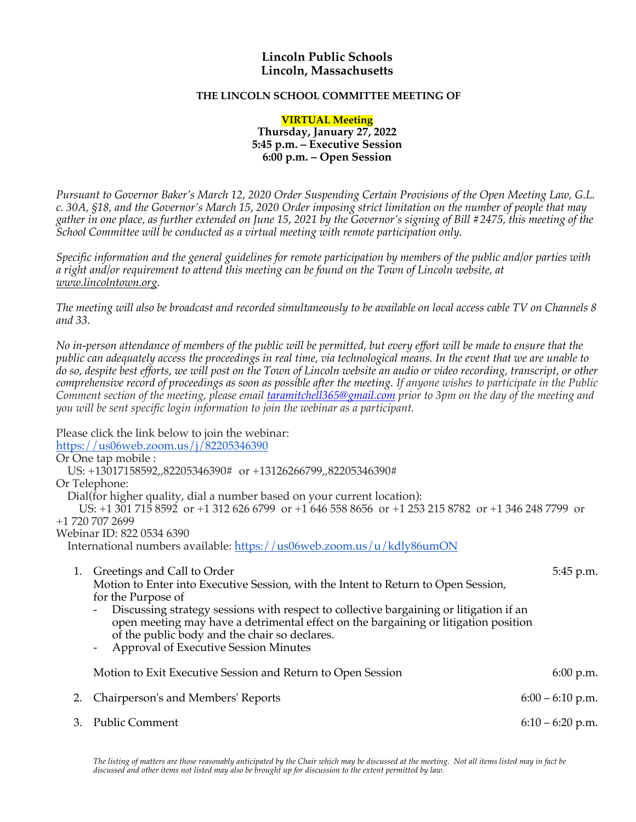## **Lincoln Public Schools Lincoln, Massachusetts**

## **THE LINCOLN SCHOOL COMMITTEE MEETING OF**

**VIRTUAL Meeting Thursday, January 27, 2022 5:45 p.m. – Executive Session 6:00 p.m. – Open Session**

*Pursuant to Governor Baker's March 12, 2020 Order Suspending Certain Provisions of the Open Meeting Law, G.L. c. 30A, §18, and the Governor's March 15, 2020 Order imposing strict limitation on the number of people that may gather in one place, as further extended on June 15, 2021 by the Governor's signing of Bill #2475, this meeting of the School Committee will be conducted as a virtual meeting with remote participation only.*

*Specific information and the general guidelines for remote participation by members of the public and/or parties with a right and/or requirement to attend this meeting can be found on the Town of Lincoln website, at www.lincolntown.org.*

*The meeting will also be broadcast and recorded simultaneously to be available on local access cable TV on Channels 8 and 33.*

*No in-person attendance of members of the public will be permitted, but every effort will be made to ensure that the public can adequately access the proceedings in real time, via technological means. In the event that we are unable to do so, despite best efforts, we will post on the Town of Lincoln website an audio or video recording, transcript, or other comprehensive record of proceedings as soon as possible after the meeting. If anyone wishes to participate in the Public Comment section of the meeting, please email taramitchell365@gmail.com prior to 3pm on the day of the meeting and you will be sent specific login information to join the webinar as a participant.*

Please click the link below to join the webinar:

[https://us06web.zoom.us/j/82205346390](https://us06web.zoom.us/j/822053463)

Or One tap mobile : US: +13017158592,,82205346390# or +13126266799,,82205346390# Or Telephone: Dial(for higher quality, dial a number based on your current location): US: +1 301 715 8592 or +1 312 626 6799 or +1 646 558 8656 or +1 253 215 8782 or +1 346 248 7799 or +1 720 707 2699 Webinar ID: 822 0534 6390 International numbers available: https://us06web.zoom.us/u/kdly86umON

| 1. | Greetings and Call to Order<br>Motion to Enter into Executive Session, with the Intent to Return to Open Session,<br>for the Purpose of<br>Discussing strategy sessions with respect to collective bargaining or litigation if an<br>$\overline{\phantom{a}}$<br>open meeting may have a detrimental effect on the bargaining or litigation position<br>of the public body and the chair so declares.<br><b>Approval of Executive Session Minutes</b><br>$\sim$ $ \sim$ | 5:45 p.m.          |
|----|-------------------------------------------------------------------------------------------------------------------------------------------------------------------------------------------------------------------------------------------------------------------------------------------------------------------------------------------------------------------------------------------------------------------------------------------------------------------------|--------------------|
|    | Motion to Exit Executive Session and Return to Open Session                                                                                                                                                                                                                                                                                                                                                                                                             | 6:00 p.m.          |
|    | Chairperson's and Members' Reports                                                                                                                                                                                                                                                                                                                                                                                                                                      | $6:00 - 6:10$ p.m. |
|    | <b>Public Comment</b>                                                                                                                                                                                                                                                                                                                                                                                                                                                   | $6:10 - 6:20$ p.m. |

The listing of matters are those reasonably anticipated by the Chair which may be discussed at the meeting. Not all items listed may in fact be *discussed and other items not listed may also be brought up for discussion to the extent permitted by law.*